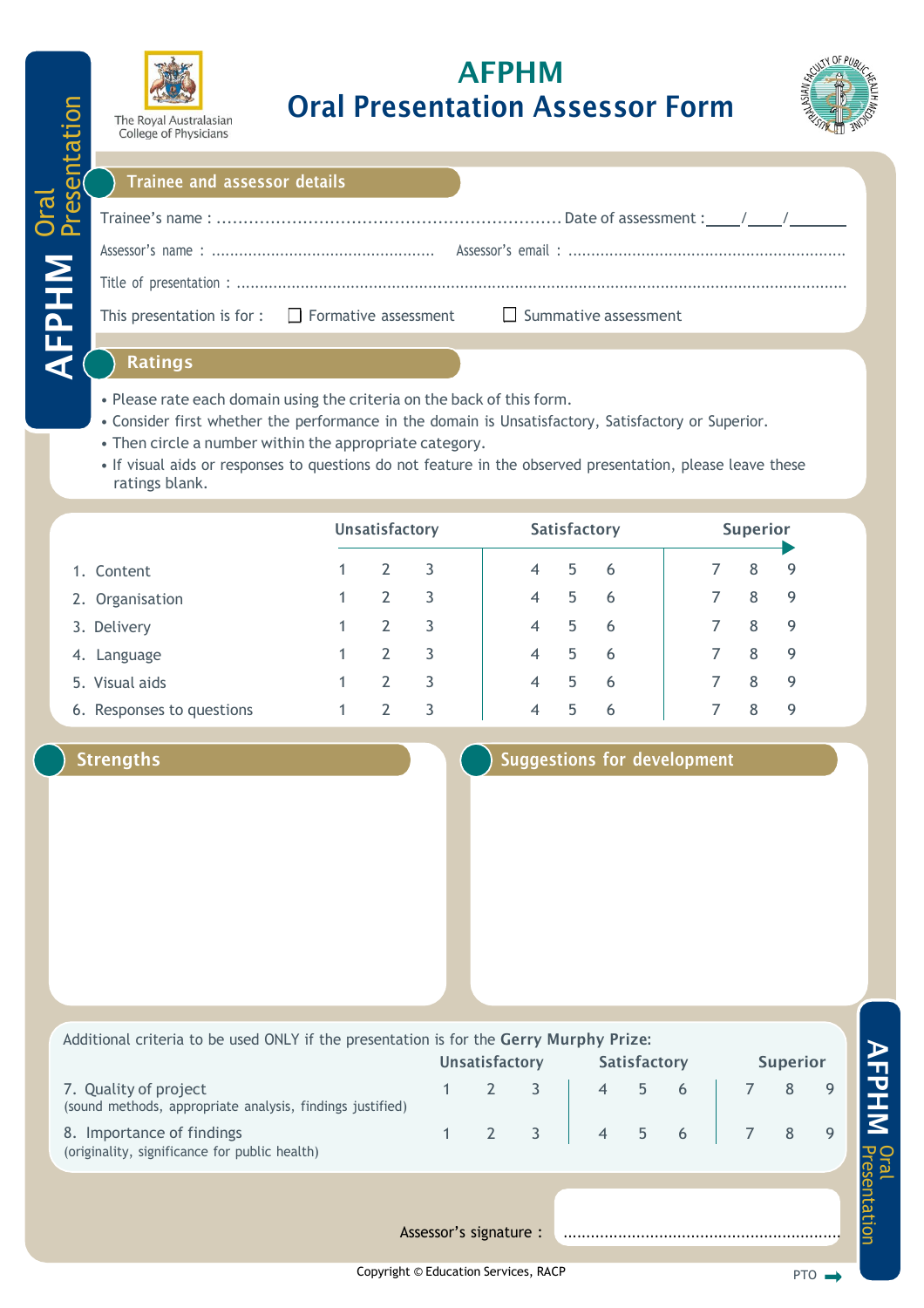

# AFPHM Oral Presentation Assessor Form



### Trainee and assessor details

| This presentation is for : $\Box$ Formative assessment $\Box$ Summative assessment                              |  |
|-----------------------------------------------------------------------------------------------------------------|--|
| the contract of the contract of the contract of the contract of the contract of the contract of the contract of |  |

### Ratings

Oral

AFPHM

Presentation

- Please rate each domain using the criteria on the back of this form.
- Consider first whether the performance in the domain is Unsatisfactory, Satisfactory or Superior.
- Then circle a number within the appropriate category.
- If visual aids or responses to questions do not feature in the observed presentation, please leave these ratings blank.

|                           | <b>Unsatisfactory</b> |               |   | Satisfactory             |   |    |  | <b>Superior</b> |   |     |  |
|---------------------------|-----------------------|---------------|---|--------------------------|---|----|--|-----------------|---|-----|--|
| 1. Content                |                       |               | 3 | $\overline{4}$           | 5 | -6 |  |                 | 8 | -9  |  |
| 2. Organisation           |                       | 2             | 3 | $\overline{4}$           | 5 | 6  |  |                 | 8 | - 9 |  |
| 3. Delivery               |                       | $\mathcal{P}$ | 3 | $\overline{4}$           | 5 | -6 |  |                 | 8 | - 9 |  |
| 4. Language               |                       |               | 3 | $\overline{\mathcal{A}}$ | 5 | 6  |  |                 | 8 | -9  |  |
| 5. Visual aids            |                       |               | 3 | $\overline{A}$           | 5 | 6  |  |                 | 8 | -9  |  |
| 6. Responses to questions |                       |               | 3 | 4                        | 5 | 6  |  |                 | 8 | 9   |  |

### Strengths Strengths Strengths Suggestions for development

| Additional criteria to be used ONLY if the presentation is for the Gerry Murphy Prize:<br><b>Unsatisfactory</b> |  | <b>Satisfactory</b>                       |                | <b>Superior</b> |  |            |  |
|-----------------------------------------------------------------------------------------------------------------|--|-------------------------------------------|----------------|-----------------|--|------------|--|
|                                                                                                                 |  | $\overline{4}$                            | 5 <sup>1</sup> | 6               |  | 8          |  |
|                                                                                                                 |  |                                           |                |                 |  |            |  |
|                                                                                                                 |  |                                           |                |                 |  |            |  |
|                                                                                                                 |  | $\overline{\phantom{a}}$ 3<br>$2 \quad 3$ |                | $4 \quad$       |  | $5\quad 6$ |  |